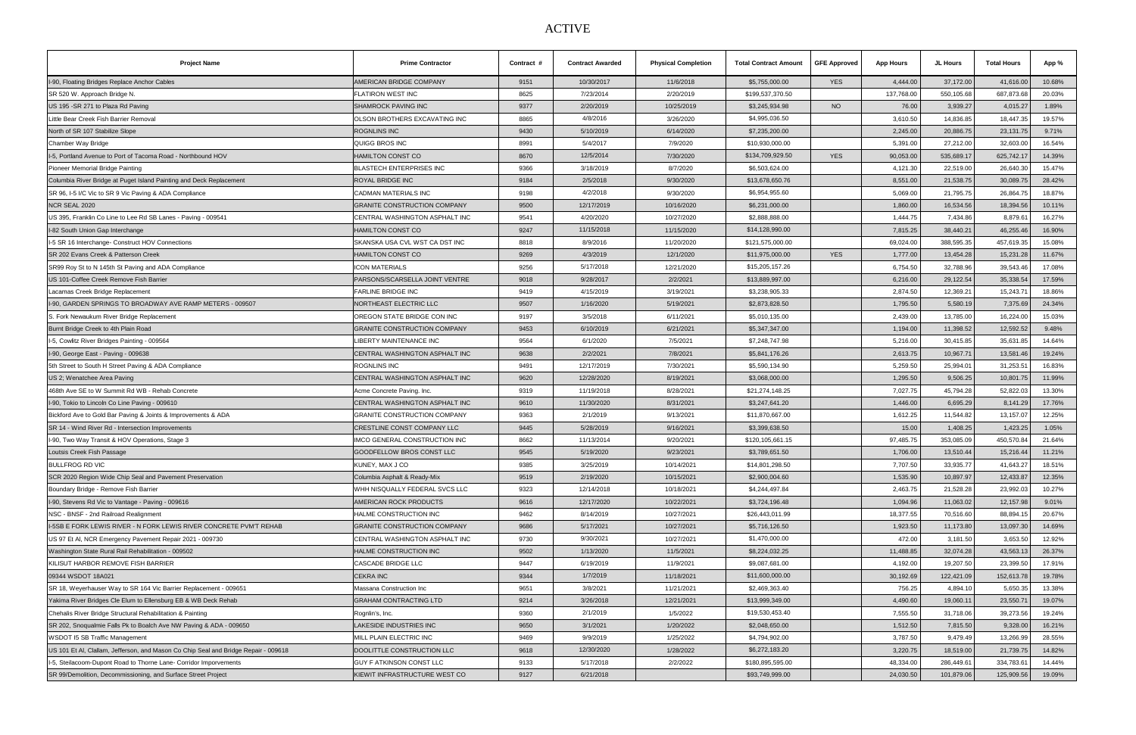## ACTIVE

| <b>Project Name</b>                                                                 | <b>Prime Contractor</b>             | Contract # | <b>Contract Awarded</b> | <b>Physical Completion</b> | <b>Total Contract Amount</b> | <b>GFE Approved</b> | <b>App Hours</b> | JL Hours   | <b>Total Hours</b> | App %  |
|-------------------------------------------------------------------------------------|-------------------------------------|------------|-------------------------|----------------------------|------------------------------|---------------------|------------------|------------|--------------------|--------|
| I-90, Floating Bridges Replace Anchor Cables                                        | AMERICAN BRIDGE COMPANY             | 9151       | 10/30/2017              | 11/6/2018                  | \$5,755,000.00               | <b>YES</b>          | 4,444.00         | 37,172.00  | 41,616.00          | 10.68% |
| SR 520 W. Approach Bridge N.                                                        | FLATIRON WEST INC                   | 8625       | 7/23/2014               | 2/20/2019                  | \$199,537,370.50             |                     | 137,768.00       | 550,105.68 | 687,873.68         | 20.03% |
| US 195 - SR 271 to Plaza Rd Paving                                                  | <b>SHAMROCK PAVING INC</b>          | 9377       | 2/20/2019               | 10/25/2019                 | \$3,245,934.98               | <b>NO</b>           | 76.00            | 3,939.27   | 4,015.27           | 1.89%  |
| Little Bear Creek Fish Barrier Removal                                              | OLSON BROTHERS EXCAVATING INC       | 8865       | 4/8/2016                | 3/26/2020                  | \$4,995,036.50               |                     | 3,610.50         | 14,836.85  | 18,447.35          | 19.57% |
| North of SR 107 Stabilize Slope                                                     | <b>ROGNLINS INC</b>                 | 9430       | 5/10/2019               | 6/14/2020                  | \$7,235,200.00               |                     | 2,245.00         | 20,886.75  | 23,131.75          | 9.71%  |
| Chamber Way Bridge                                                                  | QUIGG BROS INC                      | 8991       | 5/4/2017                | 7/9/2020                   | \$10,930,000.00              |                     | 5,391.00         | 27,212.00  | 32,603.00          | 16.54% |
| I-5, Portland Avenue to Port of Tacoma Road - Northbound HOV                        | HAMILTON CONST CO                   | 8670       | 12/5/2014               | 7/30/2020                  | \$134,709,929.50             | <b>YES</b>          | 90,053.00        | 535,689.17 | 625,742.17         | 14.39% |
| Pioneer Memorial Bridge Painting                                                    | <b>BLASTECH ENTERPRISES INC</b>     | 9366       | 3/18/2019               | 8/7/2020                   | \$6,503,624.00               |                     | 4,121.30         | 22,519.00  | 26,640.30          | 15.47% |
| Columbia River Bridge at Puget Island Painting and Deck Replacement                 | <b>ROYAL BRIDGE INC</b>             | 9184       | 2/5/2018                | 9/30/2020                  | \$13,678,650.76              |                     | 8,551.00         | 21,538.75  | 30,089.75          | 28.42% |
| SR 96, I-5 I/C Vic to SR 9 Vic Paving & ADA Compliance                              | CADMAN MATERIALS INC                | 9198       | 4/2/2018                | 9/30/2020                  | \$6,954,955.60               |                     | 5,069.00         | 21,795.75  | 26,864.75          | 18.87% |
| NCR SEAL 2020                                                                       | <b>GRANITE CONSTRUCTION COMPANY</b> | 9500       | 12/17/2019              | 10/16/2020                 | \$6,231,000.00               |                     | 1,860.00         | 16,534.56  | 18,394.56          | 10.11% |
| US 395, Franklin Co Line to Lee Rd SB Lanes - Paving - 009541                       | CENTRAL WASHINGTON ASPHALT INC      | 9541       | 4/20/2020               | 10/27/2020                 | \$2,888,888.00               |                     | 1,444.75         | 7,434.86   | 8,879.61           | 16.27% |
| I-82 South Union Gap Interchange                                                    | <b>HAMILTON CONST CO</b>            | 9247       | 11/15/2018              | 11/15/2020                 | \$14,128,990.00              |                     | 7,815.25         | 38,440.21  | 46,255.46          | 16.90% |
| I-5 SR 16 Interchange- Construct HOV Connections                                    | SKANSKA USA CVL WST CA DST INC      | 8818       | 8/9/2016                | 11/20/2020                 | \$121,575,000.00             |                     | 69,024.00        | 388,595.35 | 457,619.35         | 15.08% |
| SR 202 Evans Creek & Patterson Creek                                                | <b>HAMILTON CONST CO</b>            | 9269       | 4/3/2019                | 12/1/2020                  | \$11,975,000.00              | <b>YES</b>          | 1,777.00         | 13,454.28  | 15,231.28          | 11.67% |
| SR99 Roy St to N 145th St Paving and ADA Compliance                                 | <b>ICON MATERIALS</b>               | 9256       | 5/17/2018               | 12/21/2020                 | \$15,205,157.26              |                     | 6,754.50         | 32,788.96  | 39,543.46          | 17.08% |
| US 101-Coffee Creek Remove Fish Barrier                                             | PARSONS/SCARSELLA JOINT VENTRE      | 9018       | 9/28/2017               | 2/2/2021                   | \$13,889,997.00              |                     | 6,216.00         | 29,122.54  | 35,338.54          | 17.59% |
| Lacamas Creek Bridge Replacement                                                    | <b>FARLINE BRIDGE INC</b>           | 9419       | 4/15/2019               | 3/19/2021                  | \$3,238,905.33               |                     | 2,874.50         | 12,369.21  | 15,243.7'          | 18.86% |
| I-90, GARDEN SPRINGS TO BROADWAY AVE RAMP METERS - 009507                           | NORTHEAST ELECTRIC LLC              | 9507       | 1/16/2020               | 5/19/2021                  | \$2,873,828.50               |                     | 1,795.50         | 5,580.19   | 7,375.69           | 24.34% |
| S. Fork Newaukum River Bridge Replacement                                           | OREGON STATE BRIDGE CON INC         | 9197       | 3/5/2018                | 6/11/2021                  | \$5,010,135.00               |                     | 2,439.00         | 13,785.00  | 16,224.00          | 15.03% |
| Burnt Bridge Creek to 4th Plain Road                                                | <b>GRANITE CONSTRUCTION COMPANY</b> | 9453       | 6/10/2019               | 6/21/2021                  | \$5,347,347.00               |                     | 1,194.00         | 11,398.52  | 12,592.52          | 9.48%  |
| I-5, Cowlitz River Bridges Painting - 009564                                        | LIBERTY MAINTENANCE INC             | 9564       | 6/1/2020                | 7/5/2021                   | \$7,248,747.98               |                     | 5,216.00         | 30,415.85  | 35,631.85          | 14.64% |
| I-90, George East - Paving - 009638                                                 | CENTRAL WASHINGTON ASPHALT INC      | 9638       | 2/2/2021                | 7/8/2021                   | \$5,841,176.26               |                     | 2,613.75         | 10,967.71  | 13,581.46          | 19.24% |
| 5th Street to South H Street Paving & ADA Compliance                                | <b>ROGNLINS INC</b>                 | 9491       | 12/17/2019              | 7/30/2021                  | \$5,590,134.90               |                     | 5,259.50         | 25,994.01  | 31,253.51          | 16.83% |
| US 2; Wenatchee Area Paving                                                         | CENTRAL WASHINGTON ASPHALT INC      | 9620       | 12/28/2020              | 8/19/2021                  | \$3,068,000.00               |                     | 1,295.50         | 9,506.25   | 10,801.75          | 11.99% |
| 468th Ave SE to W Summit Rd WB - Rehab Concrete                                     | Acme Concrete Paving. Inc.          | 9319       | 11/19/2018              | 8/28/2021                  | \$21,274,148.25              |                     | 7,027.75         | 45,794.28  | 52,822.03          | 13.30% |
| I-90, Tokio to Lincoln Co Line Paving - 009610                                      | CENTRAL WASHINGTON ASPHALT INC      | 9610       | 11/30/2020              | 8/31/2021                  | \$3,247,641.20               |                     | 1,446.00         | 6,695.29   | 8,141.29           | 17.76% |
| Bickford Ave to Gold Bar Paving & Joints & Improvements & ADA                       | <b>GRANITE CONSTRUCTION COMPANY</b> | 9363       | 2/1/2019                | 9/13/2021                  | \$11,870,667.00              |                     | 1,612.25         | 11,544.82  | 13,157.07          | 12.25% |
| SR 14 - Wind River Rd - Intersection Improvements                                   | CRESTLINE CONST COMPANY LLC         | 9445       | 5/28/2019               | 9/16/2021                  | \$3,399,638.50               |                     | 15.00            | 1,408.25   | 1,423.25           | 1.05%  |
| I-90, Two Way Transit & HOV Operations, Stage 3                                     | IMCO GENERAL CONSTRUCTION INC       | 8662       | 11/13/2014              | 9/20/2021                  | \$120,105,661.15             |                     | 97,485.75        | 353,085.09 | 450,570.84         | 21.64% |
| Loutsis Creek Fish Passage                                                          | <b>GOODFELLOW BROS CONST LLC</b>    | 9545       | 5/19/2020               | 9/23/2021                  | \$3,789,651.50               |                     | 1,706.00         | 13,510.44  | 15,216.44          | 11.21% |
| <b>BULLFROG RD VIC</b>                                                              | KUNEY, MAX J CO                     | 9385       | 3/25/2019               | 10/14/2021                 | \$14,801,298.50              |                     | 7,707.50         | 33,935.77  | 41,643.27          | 18.51% |
| SCR 2020 Region Wide Chip Seal and Pavement Preservation                            | Columbia Asphalt & Ready-Mix        | 9519       | 2/19/2020               | 10/15/2021                 | \$2,900,004.60               |                     | 1,535.90         | 10,897.97  | 12,433.87          | 12.35% |
| Boundary Bridge - Remove Fish Barrier                                               | WHH NISQUALLY FEDERAL SVCS LLC      | 9323       | 12/14/2018              | 10/18/2021                 | \$4,244,497.84               |                     | 2,463.75         | 21,528.28  | 23,992.03          | 10.27% |
| I-90, Stevens Rd Vic to Vantage - Paving - 009616                                   | AMERICAN ROCK PRODUCTS              | 9616       | 12/17/2020              | 10/22/2021                 | \$3,724,196.48               |                     | 1,094.96         | 11,063.02  | 12,157.98          | 9.01%  |
| NSC - BNSF - 2nd Railroad Realignment                                               | HALME CONSTRUCTION INC              | 9462       | 8/14/2019               | 10/27/2021                 | \$26,443,011.99              |                     | 18,377.55        | 70,516.60  | 88,894.15          | 20.67% |
| I-5SB E FORK LEWIS RIVER - N FORK LEWIS RIVER CONCRETE PVM'T REHAB                  | <b>GRANITE CONSTRUCTION COMPANY</b> | 9686       | 5/17/2021               | 10/27/2021                 | \$5,716,126.50               |                     | 1,923.50         | 11,173.80  | 13,097.30          | 14.69% |
| US 97 Et Al, NCR Emergency Pavement Repair 2021 - 009730                            | CENTRAL WASHINGTON ASPHALT INC      | 9730       | 9/30/2021               | 10/27/2021                 | \$1,470,000.00               |                     | 472.00           | 3,181.50   | 3,653.50           | 12.92% |
| Washington State Rural Rail Rehabilitation - 009502                                 | HALME CONSTRUCTION INC              | 9502       | 1/13/2020               | 11/5/2021                  | \$8,224,032.25               |                     | 11,488.85        | 32,074.28  | 43,563.13          | 26.37% |
| KILISUT HARBOR REMOVE FISH BARRIER                                                  | <b>CASCADE BRIDGE LLC</b>           | 9447       | 6/19/2019               | 11/9/2021                  | \$9,087,681.00               |                     | 4,192.00         | 19,207.50  | 23,399.50          | 17.91% |
| 09344 WSDOT 18A021                                                                  | <b>CEKRA INC</b>                    | 9344       | 1/7/2019                | 11/18/2021                 | \$11,600,000.00              |                     | 30,192.69        | 122,421.09 | 152,613.78         | 19.78% |
| SR 18, Weyerhauser Way to SR 164 Vic Barrier Replacement - 009651                   | Massana Construction Inc            | 9651       | 3/8/2021                | 11/21/2021                 | \$2,469,363.40               |                     | 756.25           | 4,894.10   | 5,650.35           | 13.38% |
| Yakima River Bridges Cle Elum to Ellensburg EB & WB Deck Rehab                      | <b>GRAHAM CONTRACTING LTD</b>       | 9214       | 3/26/2018               | 12/21/2021                 | \$13,999,349.00              |                     | 4,490.60         | 19,060.11  | 23,550.71          | 19.07% |
| Chehalis River Bridge Structural Rehabilitation & Painting                          | Rognlin's, Inc.                     | 9360       | 2/1/2019                | 1/5/2022                   | \$19,530,453.40              |                     | 7,555.50         | 31,718.06  | 39,273.56          | 19.24% |
| SR 202, Snoqualmie Falls Pk to Boalch Ave NW Paving & ADA - 009650                  | <b>LAKESIDE INDUSTRIES INC</b>      | 9650       | 3/1/2021                | 1/20/2022                  | \$2,048,650.00               |                     | 1,512.50         | 7,815.50   | 9,328.00           | 16.21% |
| WSDOT I5 SB Traffic Management                                                      | MILL PLAIN ELECTRIC INC             | 9469       | 9/9/2019                | 1/25/2022                  | \$4,794,902.00               |                     | 3,787.50         | 9,479.49   | 13,266.99          | 28.55% |
| US 101 Et Al, Clallam, Jefferson, and Mason Co Chip Seal and Bridge Repair - 009618 | DOOLITTLE CONSTRUCTION LLC          | 9618       | 12/30/2020              | 1/28/2022                  | \$6,272,183.20               |                     | 3,220.75         | 18,519.00  | 21,739.75          | 14.82% |
| 1-5, Steilacoom-Dupont Road to Thorne Lane- Corridor Imporvements                   | GUY F ATKINSON CONST LLC            | 9133       | 5/17/2018               | 2/2/2022                   | \$180,895,595.00             |                     | 48,334.00        | 286,449.61 | 334,783.6          | 14.44% |
| SR 99/Demolition, Decommissioning, and Surface Street Project                       | KIEWIT INFRASTRUCTURE WEST CO       | 9127       | 6/21/2018               |                            | \$93,749,999.00              |                     | 24,030.50        | 101,879.06 | 125,909.56         | 19.09% |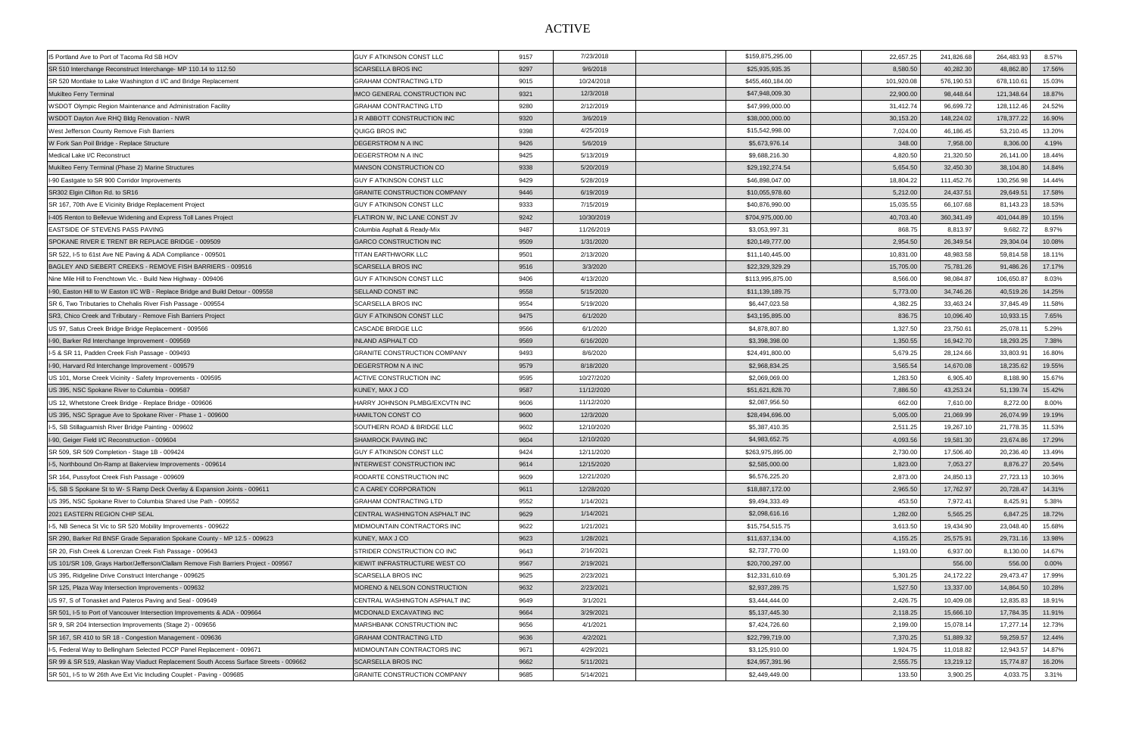## ACTIVE

| 15 Portland Ave to Port of Tacoma Rd SB HOV                                            | <b>GUY F ATKINSON CONST LLC</b>      | 9157 | 7/23/2018  | \$159,875,295.00 | 22,657.25  | 241,826.68 | 264,483.93<br>8.57%  |  |
|----------------------------------------------------------------------------------------|--------------------------------------|------|------------|------------------|------------|------------|----------------------|--|
| SR 510 Interchange Reconstruct Interchange- MP 110.14 to 112.50                        | <b>SCARSELLA BROS INC</b>            | 9297 | 9/6/2018   | \$25,935,935.35  | 8,580.50   | 40,282.30  | 48,862.80<br>17.56%  |  |
| SR 520 Montlake to Lake Washington d I/C and Bridge Replacement                        | <b>GRAHAM CONTRACTING LTD</b>        | 9015 | 10/24/2018 | \$455,460,184.00 | 101,920.08 | 576,190.53 | 678,110.61<br>15.03% |  |
| Mukilteo Ferry Terminal                                                                | IMCO GENERAL CONSTRUCTION INC        | 9321 | 12/3/2018  | \$47,948,009.30  | 22,900.00  | 98,448.64  | 121,348.64<br>18.87% |  |
| WSDOT Olympic Region Maintenance and Administration Facility                           | <b>GRAHAM CONTRACTING LTD</b>        | 9280 | 2/12/2019  | \$47,999,000.00  | 31,412.74  | 96,699.72  | 128,112.46<br>24.52% |  |
| WSDOT Dayton Ave RHQ Bldg Renovation - NWR                                             | J R ABBOTT CONSTRUCTION INC          | 9320 | 3/6/2019   | \$38,000,000.00  | 30,153.20  | 148,224.02 | 178,377.22<br>16.90% |  |
| West Jefferson County Remove Fish Barriers                                             | QUIGG BROS INC                       | 9398 | 4/25/2019  | \$15,542,998.00  | 7,024.00   | 46,186.45  | 53,210.45<br>13.20%  |  |
| W Fork San Poil Bridge - Replace Structure                                             | <b>DEGERSTROM N A INC</b>            | 9426 | 5/6/2019   | \$5,673,976.14   | 348.00     | 7,958.00   | 8,306.00<br>4.19%    |  |
| Medical Lake I/C Reconstruct                                                           | DEGERSTROM N A INC                   | 9425 | 5/13/2019  | \$9,688,216.30   | 4,820.50   | 21,320.50  | 26,141.00<br>18.44%  |  |
| Mukilteo Ferry Terminal (Phase 2) Marine Structures                                    | MANSON CONSTRUCTION CO               | 9338 | 5/20/2019  | \$29,192,274.54  | 5,654.50   | 32,450.30  | 38,104.80<br>14.84%  |  |
| I-90 Eastgate to SR 900 Corridor Improvements                                          | <b>GUY F ATKINSON CONST LLC</b>      | 9429 | 5/28/2019  | \$46,898,047.00  | 18,804.22  | 111,452.76 | 130,256.98<br>14.44% |  |
| SR302 Elgin Clifton Rd. to SR16                                                        | <b>GRANITE CONSTRUCTION COMPANY</b>  | 9446 | 6/19/2019  | \$10,055,978.60  | 5,212.00   | 24,437.51  | 29,649.51<br>17.58%  |  |
| SR 167, 70th Ave E Vicinity Bridge Replacement Project                                 | <b>GUY F ATKINSON CONST LLC</b>      | 9333 | 7/15/2019  | \$40,876,990.00  | 15,035.55  | 66,107.68  | 81,143.23<br>18.53%  |  |
| I-405 Renton to Bellevue Widening and Express Toll Lanes Project                       | <b>FLATIRON W, INC LANE CONST JV</b> | 9242 | 10/30/2019 | \$704,975,000.00 | 40,703.40  | 360,341.49 | 401,044.89<br>10.15% |  |
| EASTSIDE OF STEVENS PASS PAVING                                                        | Columbia Asphalt & Ready-Mix         | 9487 | 11/26/2019 | \$3,053,997.31   | 868.75     | 8,813.97   | 9,682.72<br>8.97%    |  |
| SPOKANE RIVER E TRENT BR REPLACE BRIDGE - 009509                                       | <b>GARCO CONSTRUCTION INC</b>        | 9509 | 1/31/2020  | \$20,149,777.00  | 2,954.50   | 26,349.54  | 29,304.04<br>10.08%  |  |
| SR 522, I-5 to 61st Ave NE Paving & ADA Compliance - 009501                            | TITAN EARTHWORK LLC                  | 9501 | 2/13/2020  | \$11,140,445.00  | 10,831.00  | 48,983.58  | 59,814.58<br>18.11%  |  |
| BAGLEY AND SIEBERT CREEKS - REMOVE FISH BARRIERS - 009516                              | <b>SCARSELLA BROS INC</b>            | 9516 | 3/3/2020   | \$22,329,329.29  | 15,705.00  | 75,781.26  | 91,486.26<br>17.17%  |  |
| Nine Mile Hill to Frenchtown Vic. - Build New Highway - 009406                         | <b>GUY F ATKINSON CONST LLC</b>      | 9406 | 4/13/2020  | \$113,995,875.00 | 8,566.00   | 98,084.87  | 106,650.87<br>8.03%  |  |
| I-90, Easton Hill to W Easton I/C WB - Replace Bridge and Build Detour - 009558        | <b>SELLAND CONST INC</b>             | 9558 | 5/15/2020  | \$11,139,189.75  | 5,773.00   | 34,746.26  | 40,519.26<br>14.25%  |  |
| SR 6, Two Tributaries to Chehalis River Fish Passage - 009554                          | <b>SCARSELLA BROS INC</b>            | 9554 | 5/19/2020  | \$6,447,023.58   | 4,382.25   | 33,463.24  | 37,845.49<br>11.58%  |  |
| SR3, Chico Creek and Tributary - Remove Fish Barriers Project                          | <b>GUY F ATKINSON CONST LLC</b>      | 9475 | 6/1/2020   | \$43,195,895.00  | 836.75     | 10,096.40  | 10,933.15<br>7.65%   |  |
| US 97, Satus Creek Bridge Bridge Replacement - 009566                                  | <b>CASCADE BRIDGE LLC</b>            | 9566 | 6/1/2020   | \$4,878,807.80   | 1,327.50   | 23,750.61  | 25,078.1<br>5.29%    |  |
| I-90, Barker Rd Interchange Improvement - 009569                                       | <b>INLAND ASPHALT CO</b>             | 9569 | 6/16/2020  | \$3,398,398.00   | 1,350.55   | 16,942.70  | 18,293.25<br>7.38%   |  |
| I-5 & SR 11, Padden Creek Fish Passage - 009493                                        | <b>GRANITE CONSTRUCTION COMPANY</b>  | 9493 | 8/6/2020   | \$24,491,800.00  | 5,679.25   | 28,124.66  | 33,803.91<br>16.80%  |  |
| I-90, Harvard Rd Interchange Improvement - 009579                                      | <b>DEGERSTROM N A INC</b>            | 9579 | 8/18/2020  | \$2,968,834.25   | 3,565.54   | 14,670.08  | 18,235.62<br>19.55%  |  |
| US 101, Morse Creek Vicinity - Safety Improvements - 009595                            | ACTIVE CONSTRUCTION INC              | 9595 | 10/27/2020 | \$2,069,069.00   | 1,283.50   | 6,905.40   | 8,188.90<br>15.67%   |  |
| US 395, NSC Spokane River to Columbia - 009587                                         | KUNEY, MAX J CO                      | 9587 | 11/12/2020 | \$51,621,828.70  | 7,886.50   | 43,253.24  | 51,139.74<br>15.42%  |  |
| US 12, Whetstone Creek Bridge - Replace Bridge - 009606                                | HARRY JOHNSON PLMBG/EXCVTN INC       | 9606 | 11/12/2020 | \$2,087,956.50   | 662.00     | 7,610.00   | 8,272.00<br>8.00%    |  |
| US 395, NSC Spraque Ave to Spokane River - Phase 1 - 009600                            | <b>HAMILTON CONST CO</b>             | 9600 | 12/3/2020  | \$28,494,696.00  | 5,005.00   | 21,069.99  | 26,074.99<br>19.19%  |  |
| I-5, SB Stillaguamish River Bridge Painting - 009602                                   | SOUTHERN ROAD & BRIDGE LLC           | 9602 | 12/10/2020 | \$5,387,410.35   | 2,511.25   | 19,267.10  | 21,778.35<br>11.53%  |  |
| I-90, Geiger Field I/C Reconstruction - 009604                                         | <b>SHAMROCK PAVING INC</b>           | 9604 | 12/10/2020 | \$4,983,652.75   | 4,093.56   | 19,581.30  | 23,674.86<br>17.29%  |  |
| SR 509, SR 509 Completion - Stage 1B - 009424                                          | <b>GUY F ATKINSON CONST LLC</b>      | 9424 | 12/11/2020 | \$263,975,895.00 | 2,730.00   | 17,506.40  | 20,236.40<br>13.49%  |  |
| I-5, Northbound On-Ramp at Bakerview Improvements - 009614                             | INTERWEST CONSTRUCTION INC           | 9614 | 12/15/2020 | \$2,585,000.00   | 1,823.00   | 7,053.27   | 8,876.27<br>20.54%   |  |
| SR 164, Pussyfoot Creek Fish Passage - 009609                                          | RODARTE CONSTRUCTION INC             | 9609 | 12/21/2020 | \$6,576,225.20   | 2,873.00   | 24,850.13  | 27,723.13<br>10.36%  |  |
| I-5, SB S Spokane St to W-S Ramp Deck Overlay & Expansion Joints - 009611              | C A CAREY CORPORATION                | 9611 | 12/28/2020 | \$18,887,172.00  | 2,965.50   | 17,762.97  | 20,728.47<br>14.31%  |  |
| US 395, NSC Spokane River to Columbia Shared Use Path - 009552                         | <b>GRAHAM CONTRACTING LTD</b>        | 9552 | 1/14/2021  | \$9,494,333.49   | 453.50     | 7,972.41   | 8,425.91<br>5.38%    |  |
| 2021 EASTERN REGION CHIP SEAL                                                          | CENTRAL WASHINGTON ASPHALT INC       | 9629 | 1/14/2021  | \$2,098,616.16   | 1,282.00   | 5,565.25   | 6,847.25<br>18.72%   |  |
| I-5, NB Seneca St Vic to SR 520 Mobility Improvements - 009622                         | MIDMOUNTAIN CONTRACTORS INC          | 9622 | 1/21/2021  | \$15,754,515.75  | 3,613.50   | 19,434.90  | 23,048.40<br>15.68%  |  |
| SR 290, Barker Rd BNSF Grade Separation Spokane County - MP 12.5 - 009623              | KUNEY, MAX J CO                      | 9623 | 1/28/2021  | \$11,637,134.00  | 4,155.25   | 25,575.91  | 13.98%<br>29,731.16  |  |
| SR 20, Fish Creek & Lorenzan Creek Fish Passage - 009643                               | STRIDER CONSTRUCTION CO INC          | 9643 | 2/16/2021  | \$2,737,770.00   | 1,193.00   | 6,937.00   | 8,130.00<br>14.67%   |  |
| US 101/SR 109, Grays Harbor/Jefferson/Clallam Remove Fish Barriers Project - 009567    | KIEWIT INFRASTRUCTURE WEST CO        | 9567 | 2/19/2021  | \$20,700,297.00  |            | 556.00     | 556.00<br>$0.00\%$   |  |
| US 395, Ridgeline Drive Construct Interchange - 009625                                 | <b>SCARSELLA BROS INC</b>            | 9625 | 2/23/2021  | \$12,331,610.69  | 5,301.25   | 24,172.22  | 29,473.47<br>17.99%  |  |
| SR 125, Plaza Way Intersection Improvements - 009632                                   | MORENO & NELSON CONSTRUCTION         | 9632 | 2/23/2021  | \$2,937,289.75   | 1,527.50   | 13,337.00  | 14,864.50<br>10.28%  |  |
| US 97, S of Tonasket and Pateros Paving and Seal - 009649                              | CENTRAL WASHINGTON ASPHALT INC       | 9649 | 3/1/2021   | \$3,444,444.00   | 2,426.75   | 10,409.08  | 12,835.83<br>18.91%  |  |
| SR 501, I-5 to Port of Vancouver Intersection Improvements & ADA - 009664              | MCDONALD EXCAVATING INC              | 9664 | 3/29/2021  | \$5,137,445.30   | 2,118.25   | 15,666.10  | 17,784.35<br>11.91%  |  |
| SR 9, SR 204 Intersection Improvements (Stage 2) - 009656                              | MARSHBANK CONSTRUCTION INC           | 9656 | 4/1/2021   | \$7,424,726.60   | 2,199.00   | 15,078.14  | 17,277.14<br>12.73%  |  |
| SR 167, SR 410 to SR 18 - Congestion Management - 009636                               | <b>GRAHAM CONTRACTING LTD</b>        | 9636 | 4/2/2021   | \$22,799,719.00  | 7,370.25   | 51,889.32  | 59,259.57<br>12.44%  |  |
| 1-5, Federal Way to Bellingham Selected PCCP Panel Replacement - 009671                | MIDMOUNTAIN CONTRACTORS INC          | 9671 | 4/29/2021  | \$3,125,910.00   | 1,924.75   | 11,018.82  | 12,943.57<br>14.87%  |  |
| ISR 99 & SR 519, Alaskan Way Viaduct Replacement South Access Surface Streets - 009662 | <b>SCARSELLA BROS INC</b>            | 9662 | 5/11/2021  | \$24,957,391.96  | 2,555.75   | 13,219.12  | 15,774.87<br>16.20%  |  |
| SR 501, I-5 to W 26th Ave Ext Vic Including Couplet - Paving - 009685                  | <b>GRANITE CONSTRUCTION COMPANY</b>  | 9685 | 5/14/2021  | \$2,449,449.00   | 133.50     | 3,900.25   | 4,033.75<br>3.31%    |  |
|                                                                                        |                                      |      |            |                  |            |            |                      |  |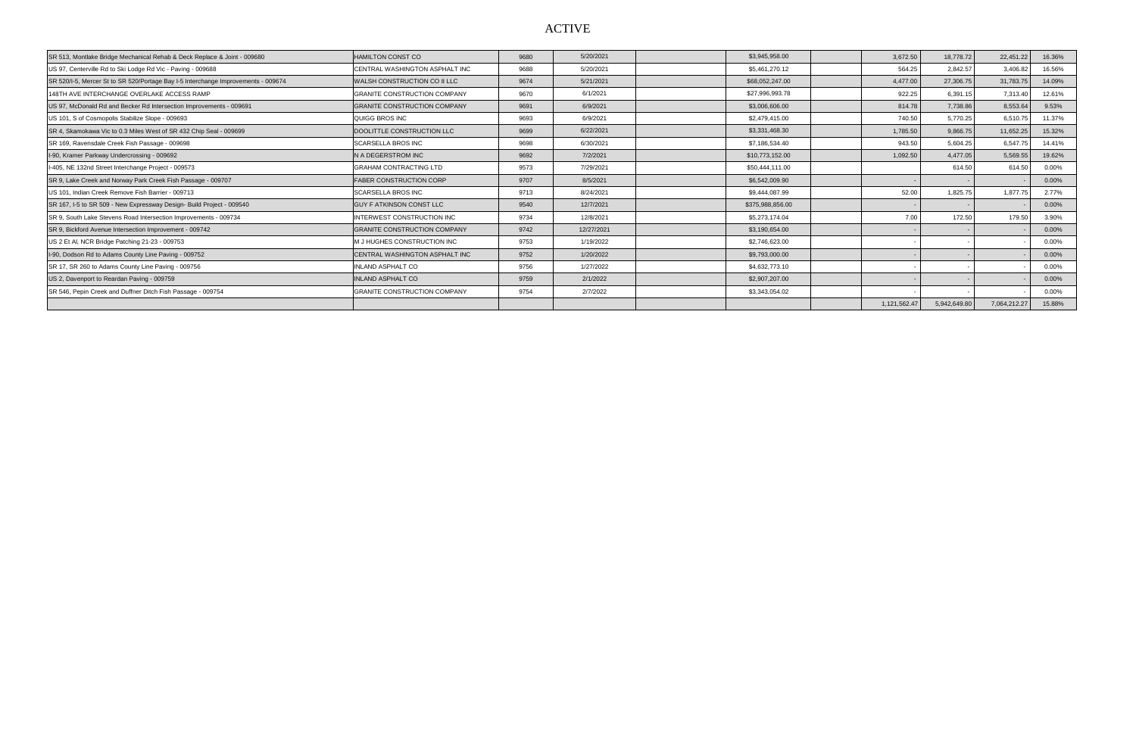## ACTIVE

| SR 513, Montlake Bridge Mechanical Rehab & Deck Replace & Joint - 009680          | <b>HAMILTON CONST CO</b>            | 9680 | 5/20/2021  | \$3,945,958.00   | 3,672.50     | 18,778.72    | 22,451.22    | 16.36%   |
|-----------------------------------------------------------------------------------|-------------------------------------|------|------------|------------------|--------------|--------------|--------------|----------|
| US 97, Centerville Rd to Ski Lodge Rd Vic - Paving - 009688                       | CENTRAL WASHINGTON ASPHALT INC      | 9688 | 5/20/2021  | \$5,461,270.12   | 564.25       | 2,842.57     | 3,406.82     | 16.56%   |
| SR 520/I-5, Mercer St to SR 520/Portage Bay I-5 Interchange Improvements - 009674 | WALSH CONSTRUCTION CO II LLC        | 9674 | 5/21/2021  | \$68,052,247.00  | 4,477.00     | 27,306.75    | 31,783.75    | 14.09%   |
| 148TH AVE INTERCHANGE OVERLAKE ACCESS RAMP                                        | <b>GRANITE CONSTRUCTION COMPANY</b> | 9670 | 6/1/2021   | \$27,996,993.78  | 922.25       | 6,391.15     | 7,313.40     | 12.61%   |
| US 97, McDonald Rd and Becker Rd Intersection Improvements - 009691               | <b>GRANITE CONSTRUCTION COMPANY</b> | 9691 | 6/9/2021   | \$3,006,606.00   | 814.78       | 7,738.86     | 8,553.64     | 9.53%    |
| US 101, S of Cosmopolis Stabilize Slope - 009693                                  | QUIGG BROS INC                      | 9693 | 6/9/2021   | \$2,479,415.00   | 740.50       | 5.770.25     | 6,510.75     | 11.37%   |
| SR 4, Skamokawa Vic to 0.3 Miles West of SR 432 Chip Seal - 009699                | DOOLITTLE CONSTRUCTION LLC          | 9699 | 6/22/2021  | \$3,331,468.30   | 1,785.50     | 9,866.75     | 11,652.25    | 15.32%   |
| SR 169, Ravensdale Creek Fish Passage - 009698                                    | <b>SCARSELLA BROS INC</b>           | 9698 | 6/30/2021  | \$7,186,534.40   | 943.50       | 5.604.25     | 6,547.75     | 14.41%   |
| I-90, Kramer Parkway Undercrossing - 009692                                       | N A DEGERSTROM INC                  | 9692 | 7/2/2021   | \$10,773,152.00  | 1,092.50     | 4,477.05     | 5,569.55     | 19.62%   |
| I-405, NE 132nd Street Interchange Project - 009573                               | <b>GRAHAM CONTRACTING LTD</b>       | 9573 | 7/29/2021  | \$50,444,111.00  |              | 614.50       | 614.50       | $0.00\%$ |
| SR 9, Lake Creek and Norway Park Creek Fish Passage - 009707                      | <b>FABER CONSTRUCTION CORP</b>      | 9707 | 8/5/2021   | \$6,542,009.90   |              |              |              | $0.00\%$ |
| US 101, Indian Creek Remove Fish Barrier - 009713                                 | <b>SCARSELLA BROS INC</b>           | 9713 | 8/24/2021  | \$9,444,087.99   | 52.00        | 1,825.75     | 1,877.75     | 2.77%    |
| SR 167, I-5 to SR 509 - New Expressway Design- Build Project - 009540             | <b>GUY F ATKINSON CONST LLC</b>     | 9540 | 12/7/2021  | \$375,988,856.00 |              |              |              | $0.00\%$ |
| SR 9, South Lake Stevens Road Intersection Improvements - 009734                  | <b>INTERWEST CONSTRUCTION INC</b>   | 9734 | 12/8/2021  | \$5,273,174.04   | 7.00         | 172.50       | 179.50       | 3.90%    |
| SR 9, Bickford Avenue Intersection Improvement - 009742                           | <b>GRANITE CONSTRUCTION COMPANY</b> | 9742 | 12/27/2021 | \$3,190,654.00   |              |              |              | $0.00\%$ |
| US 2 Et Al, NCR Bridge Patching 21-23 - 009753                                    | M J HUGHES CONSTRUCTION INC         | 9753 | 1/19/2022  | \$2,746,623.00   |              |              |              | $0.00\%$ |
| I-90, Dodson Rd to Adams County Line Paving - 009752                              | CENTRAL WASHINGTON ASPHALT INC      | 9752 | 1/20/2022  | \$9,793,000.00   |              |              |              | $0.00\%$ |
| SR 17, SR 260 to Adams County Line Paving - 009756                                | <b>INLAND ASPHALT CO</b>            | 9756 | 1/27/2022  | \$4,632,773.10   |              |              |              | 0.00%    |
| US 2, Davenport to Reardan Paving - 009759                                        | <b>INLAND ASPHALT CO</b>            | 9759 | 2/1/2022   | \$2,907,207.00   |              |              |              | $0.00\%$ |
| SR 546, Pepin Creek and Duffner Ditch Fish Passage - 009754                       | <b>GRANITE CONSTRUCTION COMPANY</b> | 9754 | 2/7/2022   | \$3,343,054.02   |              |              |              | $0.00\%$ |
|                                                                                   |                                     |      |            |                  | 1,121,562.47 | 5,942,649.80 | 7,064,212.27 | 15.88%   |